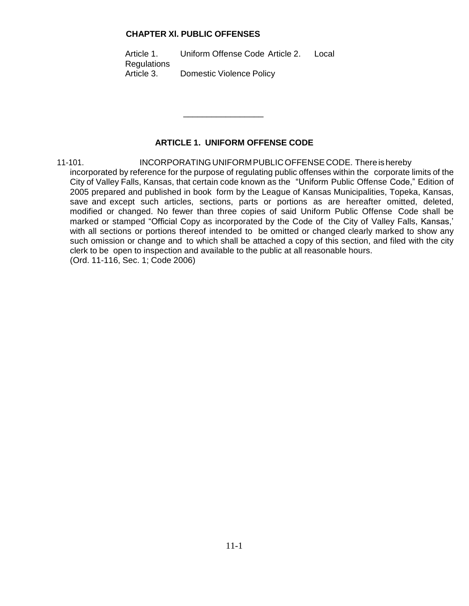#### **CHAPTER Xl. PUBLIC OFFENSES**

Article 1. Uniform Offense Code Article 2. Local **Regulations** Article 3. Domestic Violence Policy

\_\_\_\_\_\_\_\_\_\_\_\_\_\_\_\_\_

# **ARTICLE 1. UNIFORM OFFENSE CODE**

11-101. INCORPORATINGUNIFORMPUBLICOFFENSECODE. There is hereby incorporated by reference for the purpose of regulating public offenses within the corporate limits of the City of Valley Falls, Kansas, that certain code known as the "Uniform Public Offense Code," Edition of 2005 prepared and published in book form by the League of Kansas Municipalities, Topeka, Kansas, save and except such articles, sections, parts or portions as are hereafter omitted, deleted, modified or changed. No fewer than three copies of said Uniform Public Offense Code shall be marked or stamped "Official Copy as incorporated by the Code of the City of Valley Falls, Kansas,' with all sections or portions thereof intended to be omitted or changed clearly marked to show any such omission or change and to which shall be attached a copy of this section, and filed with the city clerk to be open to inspection and available to the public at all reasonable hours. (Ord. 11-116, Sec. 1; Code 2006)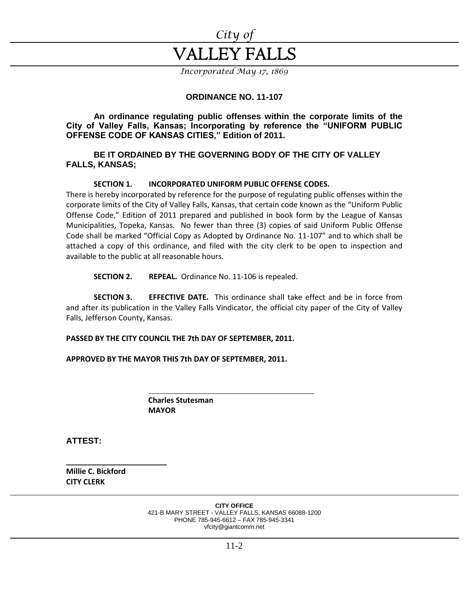

*Incorporated May 17, 1869*

## **ORDINANCE NO. 11-107**

**An ordinance regulating public offenses within the corporate limits of the City of Valley Falls, Kansas; Incorporating by reference the "UNIFORM PUBLIC OFFENSE CODE OF KANSAS CITIES," Edition of 2011.**

#### **BE IT ORDAINED BY THE GOVERNING BODY OF THE CITY OF VALLEY FALLS, KANSAS;**

#### **SECTION 1. INCORPORATED UNIFORM PUBLIC OFFENSE CODES.**

There is hereby incorporated by reference for the purpose of regulating public offenses within the corporate limits of the City of Valley Falls, Kansas, that certain code known as the "Uniform Public Offense Code," Edition of 2011 prepared and published in book form by the League of Kansas Municipalities, Topeka, Kansas. No fewer than three (3) copies of said Uniform Public Offense Code shall be marked "Official Copy as Adopted by Ordinance No. 11-107" and to which shall be attached a copy of this ordinance, and filed with the city clerk to be open to inspection and available to the public at all reasonable hours.

**SECTION 2. REPEAL.** Ordinance No. 11-106 is repealed.

**SECTION 3. EFFECTIVE DATE.** This ordinance shall take effect and be in force from and after its publication in the Valley Falls Vindicator, the official city paper of the City of Valley Falls, Jefferson County, Kansas.

**PASSED BY THE CITY COUNCIL THE 7th DAY OF SEPTEMBER, 2011.**

**APPROVED BY THE MAYOR THIS 7th DAY OF SEPTEMBER, 2011.**

 **Charles Stutesman MAYOR**

**ATTEST:**

**Millie C. Bickford CITY CLERK**

**\_\_\_\_\_\_\_\_\_\_\_\_\_\_\_\_\_\_\_\_\_\_\_\_**

**CITY OFFICE** 421-B MARY STREET - VALLEY FALLS, KANSAS 66088-1200 PHONE 785-945-6612 – FAX 785-945-3341 vfcity@giantcomm.net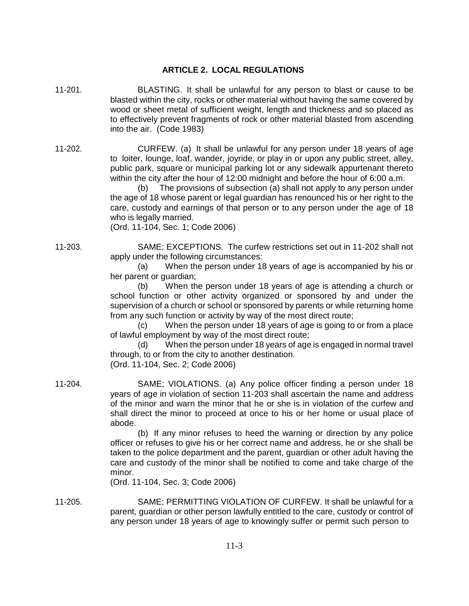## **ARTICLE 2. LOCAL REGULATIONS**

11-201. BLASTING. It shall be unlawful for any person to blast or cause to be blasted within the city, rocks or other material without having the same covered by wood or sheet metal of sufficient weight, length and thickness and so placed as to effectively prevent fragments of rock or other material blasted from ascending into the air. (Code 1983)

11-202. CURFEW. (a) It shall be unlawful for any person under 18 years of age to loiter, lounge, loaf, wander, joyride, or play in or upon any public street, alley, public park, square or municipal parking lot or any sidewalk appurtenant thereto within the city after the hour of 12:00 midnight and before the hour of 6:00 a.m.

(b) The provisions of subsection (a) shall not apply to any person under the age of 18 whose parent or legal guardian has renounced his or her right to the care, custody and earnings of that person or to any person under the age of 18 who is legally married.

(Ord. 11-104, Sec. 1; Code 2006)

11-203. SAME; EXCEPTIONS. The curfew restrictions set out in 11-202 shall not apply under the following circumstances:

(a) When the person under 18 years of age is accompanied by his or her parent or guardian;

(b) When the person under 18 years of age is attending a church or school function or other activity organized or sponsored by and under the supervision of a church or school or sponsored by parents or while returning home from any such function or activity by way of the most direct route;

(c) When the person under 18 years of age is going to or from a place of lawful employment by way of the most direct route;

(d) When the person under 18 years of age is engaged in normal travel through, to or from the city to another destination. (Ord. 11-104, Sec. 2; Code 2006)

11-204. SAME; VIOLATIONS. (a) Any police officer finding a person under 18 years of age in violation of section 11-203 shall ascertain the name and address of the minor and warn the minor that he or she is in violation of the curfew and shall direct the minor to proceed at once to his or her home or usual place of abode.

> (b) If any minor refuses to heed the warning or direction by any police officer or refuses to give his or her correct name and address, he or she shall be taken to the police department and the parent, guardian or other adult having the care and custody of the minor shall be notified to come and take charge of the minor.

(Ord. 11-104, Sec. 3; Code 2006)

11-205. SAME; PERMITTING VIOLATION OF CURFEW. It shall be unlawful for a parent, guardian or other person lawfully entitled to the care, custody or control of any person under 18 years of age to knowingly suffer or permit such person to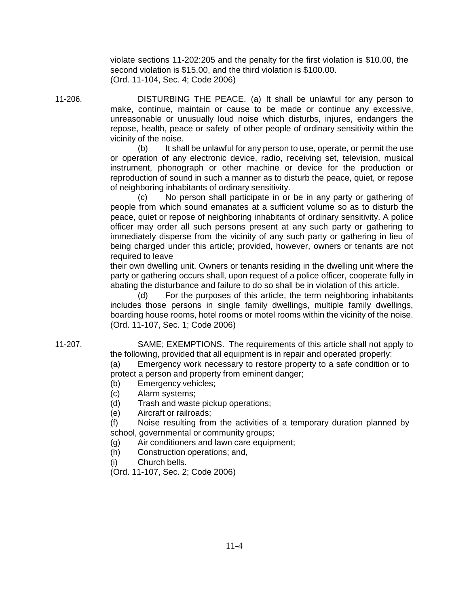violate sections 11-202:205 and the penalty for the first violation is \$10.00, the second violation is \$15.00, and the third violation is \$100.00. (Ord. 11-104, Sec. 4; Code 2006)

11-206. DISTURBING THE PEACE. (a) It shall be unlawful for any person to make, continue, maintain or cause to be made or continue any excessive, unreasonable or unusually loud noise which disturbs, injures, endangers the repose, health, peace or safety of other people of ordinary sensitivity within the vicinity of the noise.

> (b) It shall be unlawful for any person to use, operate, or permit the use or operation of any electronic device, radio, receiving set, television, musical instrument, phonograph or other machine or device for the production or reproduction of sound in such a manner as to disturb the peace, quiet, or repose of neighboring inhabitants of ordinary sensitivity.

> (c) No person shall participate in or be in any party or gathering of people from which sound emanates at a sufficient volume so as to disturb the peace, quiet or repose of neighboring inhabitants of ordinary sensitivity. A police officer may order all such persons present at any such party or gathering to immediately disperse from the vicinity of any such party or gathering in lieu of being charged under this article; provided, however, owners or tenants are not required to leave

> their own dwelling unit. Owners or tenants residing in the dwelling unit where the party or gathering occurs shall, upon request of a police officer, cooperate fully in abating the disturbance and failure to do so shall be in violation of this article.

> (d) For the purposes of this article, the term neighboring inhabitants includes those persons in single family dwellings, multiple family dwellings, boarding house rooms, hotel rooms or motel rooms within the vicinity of the noise. (Ord. 11-107, Sec. 1; Code 2006)

11-207. SAME; EXEMPTIONS. The requirements of this article shall not apply to the following, provided that all equipment is in repair and operated properly:

(a) Emergency work necessary to restore property to a safe condition or to protect a person and property from eminent danger;

- (b) Emergency vehicles;
- (c) Alarm systems;
- (d) Trash and waste pickup operations;
- (e) Aircraft or railroads;

(f) Noise resulting from the activities of a temporary duration planned by school, governmental or community groups;

- (g) Air conditioners and lawn care equipment;
- (h) Construction operations; and,
- (i) Church bells.
- (Ord. 11-107, Sec. 2; Code 2006)